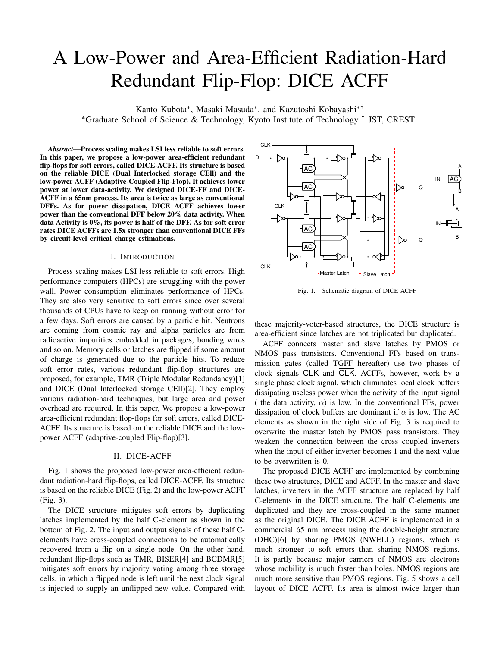# A Low-Power and Area-Efficient Radiation-Hard Redundant Flip-Flop: DICE ACFF

Kanto Kubota*∗* , Masaki Masuda*∗* , and Kazutoshi Kobayashi*∗† ∗*Graduate School of Science & Technology, Kyoto Institute of Technology *†* JST, CREST

*Abstract*—Process scaling makes LSI less reliable to soft errors. In this paper, we propose a low-power area-efficient redundant flip-flops for soft errors, called DICE-ACFF. Its structure is based on the reliable DICE (Dual Interlocked storage CEll) and the low-power ACFF (Adaptive-Coupled Flip-Flop). It achieves lower power at lower data-activity. We designed DICE-FF and DICE-ACFF in a 65nm process. Its area is twice as large as conventional DFFs. As for power dissipation, DICE ACFF achieves lower power than the conventional DFF below 20% data activity. When data Activity is 0%, its power is half of the DFF. As for soft error rates DICE ACFFs are 1.5x stronger than conventional DICE FFs by circuit-level critical charge estimations.

#### I. INTRODUCTION

Process scaling makes LSI less reliable to soft errors. High performance computers (HPCs) are struggling with the power wall. Power consumption eliminates performance of HPCs. They are also very sensitive to soft errors since over several thousands of CPUs have to keep on running without error for a few days. Soft errors are caused by a particle hit. Neutrons are coming from cosmic ray and alpha particles are from radioactive impurities embedded in packages, bonding wires and so on. Memory cells or latches are flipped if some amount of charge is generated due to the particle hits. To reduce soft error rates, various redundant flip-flop structures are proposed, for example, TMR (Triple Modular Redundancy)[1] and DICE (Dual Interlocked storage CEll)[2]. They employ various radiation-hard techniques, but large area and power overhead are required. In this paper, We propose a low-power area-efficient redundant flop-flops for soft errors, called DICE-ACFF. Its structure is based on the reliable DICE and the lowpower ACFF (adaptive-coupled Flip-flop)[3].

## II. DICE-ACFF

Fig. 1 shows the proposed low-power area-efficient redundant radiation-hard flip-flops, called DICE-ACFF. Its structure is based on the reliable DICE (Fig. 2) and the low-power ACFF (Fig. 3).

The DICE structure mitigates soft errors by duplicating latches implemented by the half C-element as shown in the bottom of Fig. 2. The input and output signals of these half Celements have cross-coupled connections to be automatically recovered from a flip on a single node. On the other hand, redundant flip-flops such as TMR, BISER[4] and BCDMR[5] mitigates soft errors by majority voting among three storage cells, in which a flipped node is left until the next clock signal is injected to supply an unflipped new value. Compared with



Fig. 1. Schematic diagram of DICE ACFF

these majority-voter-based structures, the DICE structure is area-efficient since latches are not triplicated but duplicated.

ACFF connects master and slave latches by PMOS or NMOS pass transistors. Conventional FFs based on transmission gates (called TGFF hereafter) use two phases of clock signals CLK and CLK. ACFFs, however, work by a single phase clock signal, which eliminates local clock buffers dissipating useless power when the activity of the input signal ( the data activity,  $\alpha$ ) is low. In the conventional FFs, power dissipation of clock buffers are dominant if  $\alpha$  is low. The AC elements as shown in the right side of Fig. 3 is required to overwrite the master latch by PMOS pass transistors. They weaken the connection between the cross coupled inverters when the input of either inverter becomes 1 and the next value to be overwritten is 0.

The proposed DICE ACFF are implemented by combining these two structures, DICE and ACFF. In the master and slave latches, inverters in the ACFF structure are replaced by half C-elements in the DICE structure. The half C-elements are duplicated and they are cross-coupled in the same manner as the original DICE. The DICE ACFF is implemented in a commercial 65 nm process using the double-height structure (DHC)[6] by sharing PMOS (NWELL) regions, which is much stronger to soft errors than sharing NMOS regions. It is partly because major carriers of NMOS are electrons whose mobility is much faster than holes. NMOS regions are much more sensitive than PMOS regions. Fig. 5 shows a cell layout of DICE ACFF. Its area is almost twice larger than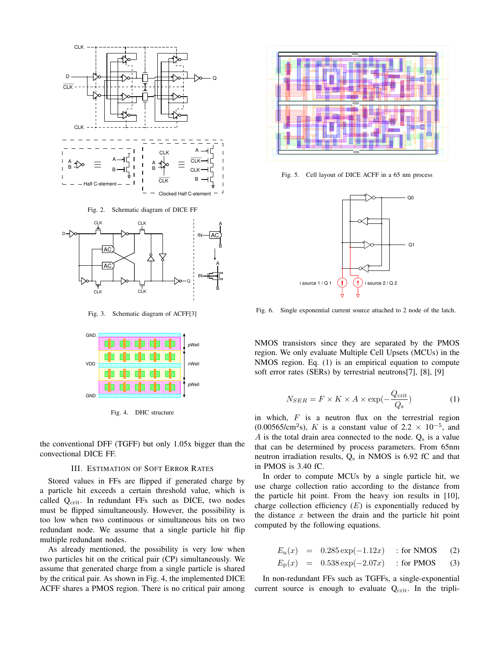

Fig. 2. Schematic diagram of DICE FF



Fig. 3. Schematic diagram of ACFF[3]



Fig. 4. DHC structure

the conventional DFF (TGFF) but only 1.05x bigger than the convectional DICE FF.

#### III. ESTIMATION OF SOFT ERROR RATES

Stored values in FFs are flipped if generated charge by a particle hit exceeds a certain threshold value, which is called Q<sub>crit</sub>. In redundant FFs such as DICE, two nodes must be flipped simultaneously. However, the possibility is too low when two continuous or simultaneous hits on two redundant node. We assume that a single particle hit flip multiple redundant nodes.

As already mentioned, the possibility is very low when two particles hit on the critical pair (CP) simultaneously. We assume that generated charge from a single particle is shared by the critical pair. As shown in Fig. 4, the implemented DICE ACFF shares a PMOS region. There is no critical pair among



Fig. 5. Cell layout of DICE ACFF in a 65 nm process



Fig. 6. Single exponential current source attached to 2 node of the latch.

NMOS transistors since they are separated by the PMOS region. We only evaluate Multiple Cell Upsets (MCUs) in the NMOS region. Eq. (1) is an empirical equation to compute soft error rates (SERs) by terrestrial neutrons[7], [8], [9]

$$
N_{SER} = F \times K \times A \times \exp(-\frac{Q_{\text{crit}}}{Q_{\text{s}}})
$$
 (1)

in which, *F* is a neutron flux on the terrestrial region  $(0.00565/cm^2 s)$ , *K* is a constant value of 2.2  $\times$  10<sup>-5</sup>, and *A* is the total drain area connected to the node.  $Q_s$  is a value that can be determined by process parameters. From 65nm neutron irradiation results,  $Q_s$  in NMOS is 6.92 fC and that in PMOS is 3.40 fC.

In order to compute MCUs by a single particle hit, we use charge collection ratio according to the distance from the particle hit point. From the heavy ion results in [10], charge collection efficiency (*E*) is exponentially reduced by the distance *x* between the drain and the particle hit point computed by the following equations.

$$
E_n(x) = 0.285 \exp(-1.12x) \quad \text{for NMOS} \tag{2}
$$

$$
E_{\rm p}(x) = 0.538 \exp(-2.07x) \quad \text{for PMOS} \tag{3}
$$

In non-redundant FFs such as TGFFs, a single-exponential current source is enough to evaluate  $Q_{\text{crit}}$ . In the tripli-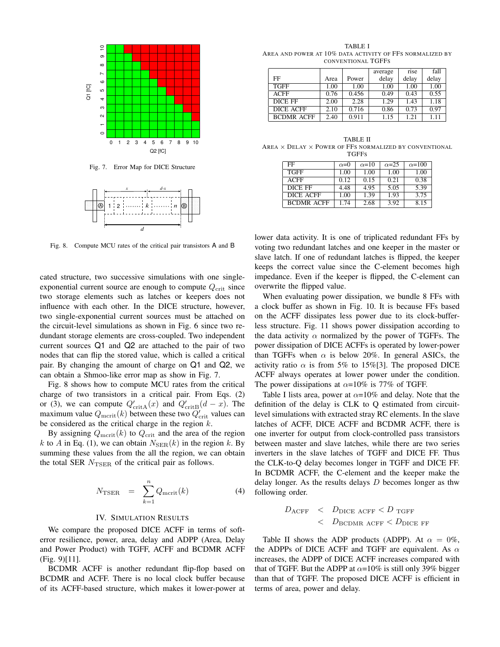

Fig. 7. Error Map for DICE Structure



Fig. 8. Compute MCU rates of the critical pair transistors A and B

cated structure, two successive simulations with one singleexponential current source are enough to compute  $Q_{\text{crit}}$  since two storage elements such as latches or keepers does not influence with each other. In the DICE structure, however, two single-exponential current sources must be attached on the circuit-level simulations as shown in Fig. 6 since two redundant storage elements are cross-coupled. Two independent current sources Q1 and Q2 are attached to the pair of two nodes that can flip the stored value, which is called a critical pair. By changing the amount of charge on Q1 and Q2, we can obtain a Shmoo-like error map as show in Fig. 7.

Fig. 8 shows how to compute MCU rates from the critical charge of two transistors in a critical pair. From Eqs. (2) or (3), we can compute  $Q'_{\text{crit}A}(x)$  and  $Q'_{\text{crit}B}(d-x)$ . The maximum value  $Q_{\text{mcrit}}(k)$  between these two  $Q'_{\text{crit}}$  values can be considered as the critical charge in the region *k*.

By assigning  $Q_{\text{mcrit}}(k)$  to  $Q_{\text{crit}}$  and the area of the region k to A in Eq. (1), we can obtain  $N_{\text{SER}}(k)$  in the region k. By summing these values from the all the region, we can obtain the total SER  $N_{\text{TSER}}$  of the critical pair as follows.

$$
N_{\text{TSER}} = \sum_{k=1}^{n} Q_{\text{mcrit}}(k) \tag{4}
$$

### IV. SIMULATION RESULTS

We compare the proposed DICE ACFF in terms of softerror resilience, power, area, delay and ADPP (Area, Delay and Power Product) with TGFF, ACFF and BCDMR ACFF (Fig. 9)[11].

BCDMR ACFF is another redundant flip-flop based on BCDMR and ACFF. There is no local clock buffer because of its ACFF-based structure, which makes it lower-power at

TABLE I AREA AND POWER AT 10% DATA ACTIVITY OF FFS NORMALIZED BY CONVENTIONAL TGFFS

|                   |      |       | average | rise  | fall  |
|-------------------|------|-------|---------|-------|-------|
| FF                | Area | Power | delay   | delay | delay |
| <b>TGFF</b>       | 1.00 | 1.00  | 1.00    | 1.00  | 1.00  |
| <b>ACFF</b>       | 0.76 | 0.456 | 0.49    | 0.43  | 0.55  |
| DICE FF           | 2.00 | 2.28  | 1.29    | 1.43  | 1.18  |
| <b>DICE ACFF</b>  | 2.10 | 0.716 | 0.86    | 0.73  | 0.97  |
| <b>BCDMR ACFF</b> | 2.40 | 0.911 | 1.15    | 1.21  | 1.11  |

TABLE II AREA *×* DELAY *×* POWER OF FFS NORMALIZED BY CONVENTIONAL TGFFS

| FF                | $\alpha=0$ | $\alpha = 10$ | $\alpha = 25$ | $\alpha = 100$ |
|-------------------|------------|---------------|---------------|----------------|
| <b>TGFF</b>       | 1.00       | 1.00          | 1.00          | 1.00           |
| <b>ACFF</b>       | 0.12       | 0.15          | 0.21          | 0.38           |
| DICE FF           | 4.48       | 4.95          | 5.05          | 5.39           |
| DICE ACFF         | 1.00       | 1.39          | 1.93          | 3.75           |
| <b>BCDMR ACFF</b> | 1.74       | 2.68          | 3.92          | 8.15           |

lower data activity. It is one of triplicated redundant FFs by voting two redundant latches and one keeper in the master or slave latch. If one of redundant latches is flipped, the keeper keeps the correct value since the C-element becomes high impedance. Even if the keeper is flipped, the C-element can overwrite the flipped value.

When evaluating power dissipation, we bundle 8 FFs with a clock buffer as shown in Fig. 10. It is because FFs based on the ACFF dissipates less power due to its clock-bufferless structure. Fig. 11 shows power dissipation according to the data activity  $\alpha$  normalized by the power of TGFFs. The power dissipation of DICE ACFFs is operated by lower-power than TGFFs when  $\alpha$  is below 20%. In general ASICs, the activity ratio  $\alpha$  is from 5% to 15%[3]. The proposed DICE ACFF always operates at lower power under the condition. The power dissipations at  $\alpha$ =10% is 77% of TGFF.

Table I lists area, power at  $\alpha = 10\%$  and delay. Note that the definition of the delay is CLK to Q estimated from circuitlevel simulations with extracted stray RC elements. In the slave latches of ACFF, DICE ACFF and BCDMR ACFF, there is one inverter for output from clock-controlled pass transistors between master and slave latches, while there are two series inverters in the slave latches of TGFF and DICE FF. Thus the CLK-to-Q delay becomes longer in TGFF and DICE FF. In BCDMR ACFF, the C-element and the keeper make the delay longer. As the results delays *D* becomes longer as thw following order.

$$
\begin{array}{lcl} D_{\text{ACFF}} < & D_{\text{DICE ACFF}} < D_{\text{TGFF}} \\ < & D_{\text{BCDMR ACFF}} < D_{\text{DICE FF}} \end{array}
$$

Table II shows the ADP products (ADPP). At  $\alpha = 0\%$ , the ADPPs of DICE ACFF and TGFF are equivalent. As *α* increases, the ADPP of DICE ACFF increases compared with that of TGFF. But the ADPP at  $\alpha$ =10% is still only 39% bigger than that of TGFF. The proposed DICE ACFF is efficient in terms of area, power and delay.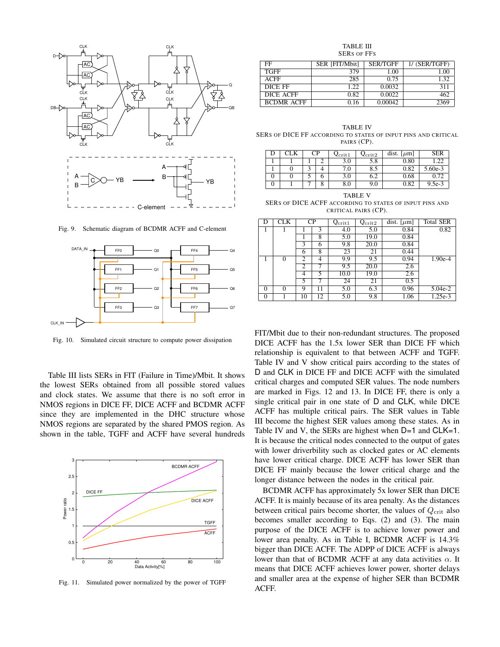

Fig. 9. Schematic diagram of BCDMR ACFF and C-element



Fig. 10. Simulated circuit structure to compute power dissipation

Table III lists SERs in FIT (Failure in Time)/Mbit. It shows the lowest SERs obtained from all possible stored values and clock states. We assume that there is no soft error in NMOS regions in DICE FF, DICE ACFF and BCDMR ACFF since they are implemented in the DHC structure whose NMOS regions are separated by the shared PMOS region. As shown in the table, TGFF and ACFF have several hundreds



Fig. 11. Simulated power normalized by the power of TGFF

TABLE III SERS OF FFS

| FF                | SER [FIT/Mbit] | <b>SER/TGFF</b> | 1/ (SER/TGFF) |
|-------------------|----------------|-----------------|---------------|
| <b>TGFF</b>       | 379            | 1.00            | 1.00          |
| ACFF              | 285            | 0.75            | 1.32          |
| DICE FF           | 1.22           | 0.0032          | 311           |
| DICE ACFF         | 0.82           | 0.0022          | 462           |
| <b>BCDMR ACFF</b> | 0.16           | 0.00042         | 2369          |

TABLE IV SERS OF DICE FF ACCORDING TO STATES OF INPUT PINS AND CRITICAL PAIRS (CP).

|   |  | СP | $Q_{\rm crit1}$ | $\mathcal{Q}_{\mathrm{crit}2}$ | dist. $[\mu m]$ | SER     |
|---|--|----|-----------------|--------------------------------|-----------------|---------|
|   |  |    | 3.0             | 5.8                            | 0.80            | .22     |
|   |  |    | 7.0             | 8.5                            | 0.82            | 5.60e-3 |
| υ |  | o  | 3.0             | 6.2                            | 0.68            | 0.72    |
|   |  | о  | $_{\rm 8.0}$    | 9.0                            | 0.82            | 9.5e-3  |

TABLE V SERS OF DICE ACFF ACCORDING TO STATES OF INPUT PINS AND CRITICAL PAIRS (CP).

| D        | CLK | $\rm CP$       |    | $Q_{\rm crit1}$ | $Q_{\rm crit2}$ | dist. [ $\mu$ m] | <b>Total SER</b> |
|----------|-----|----------------|----|-----------------|-----------------|------------------|------------------|
|          |     |                | 3  | 4.0             | 5.0             | 0.84             | 0.82             |
|          |     |                | 8  | 5.0             | 19.0            | 0.84             |                  |
|          |     | 3              | 6  | 9.8             | 20.0            | 0.84             |                  |
|          |     | 6              | 8  | 23              | 21              | 0.44             |                  |
|          | 0   | $\overline{c}$ | 4  | 9.9             | 9.5             | 0.94             | $1.90e-4$        |
|          |     | 2              |    | 9.5             | 20.0            | $\overline{2.6}$ |                  |
|          |     | 4              | 5  | 10.0            | 19.0            | 2.6              |                  |
|          |     | 5              |    | 24              | 21              | 0.5              |                  |
| $\Omega$ |     | 9              | 11 | 5.0             | 6.3             | 0.96             | $5.04e-2$        |
| $\Omega$ |     | 10             | 12 | 5.0             | 9.8             | 1.06             | 1.25e-3          |

FIT/Mbit due to their non-redundant structures. The proposed DICE ACFF has the 1.5x lower SER than DICE FF which relationship is equivalent to that between ACFF and TGFF. Table IV and V show critical pairs according to the states of D and CLK in DICE FF and DICE ACFF with the simulated critical charges and computed SER values. The node numbers are marked in Figs. 12 and 13. In DICE FF, there is only a single critical pair in one state of D and CLK, while DICE ACFF has multiple critical pairs. The SER values in Table III become the highest SER values among these states. As in Table IV and V, the SERs are highest when  $D=1$  and CLK=1. It is because the critical nodes connected to the output of gates with lower driverbility such as clocked gates or AC elements have lower critical charge. DICE ACFF has lower SER than DICE FF mainly because the lower critical charge and the longer distance between the nodes in the critical pair.

BCDMR ACFF has approximately 5x lower SER than DICE ACFF. It is mainly because of its area penalty. As the distances between critical pairs become shorter, the values of  $Q_{\text{crit}}$  also becomes smaller according to Eqs. (2) and (3). The main purpose of the DICE ACFF is to achieve lower power and lower area penalty. As in Table I, BCDMR ACFF is 14.3% bigger than DICE ACFF. The ADPP of DICE ACFF is always lower than that of BCDMR ACFF at any data activities *α*. It means that DICE ACFF achieves lower power, shorter delays and smaller area at the expense of higher SER than BCDMR ACFF.